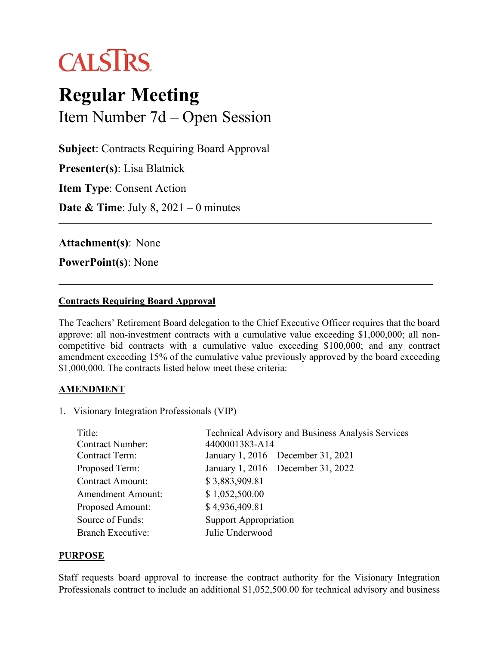

# **Regular Meeting** Item Number 7d – Open Session

**Subject**: Contracts Requiring Board Approval

**Presenter(s)**: Lisa Blatnick

**Item Type**: Consent Action

**Date & Time**: July 8, 2021 – 0 minutes

**Attachment(s)**: None

**PowerPoint(s)**: None

#### **Contracts Requiring Board Approval**

The Teachers' Retirement Board delegation to the Chief Executive Officer requires that the board approve: all non-investment contracts with a cumulative value exceeding \$1,000,000; all noncompetitive bid contracts with a cumulative value exceeding \$100,000; and any contract amendment exceeding 15% of the cumulative value previously approved by the board exceeding \$1,000,000. The contracts listed below meet these criteria:

### **AMENDMENT**

1. Visionary Integration Professionals (VIP)

| Title:                   | <b>Technical Advisory and Business Analysis Services</b> |
|--------------------------|----------------------------------------------------------|
| <b>Contract Number:</b>  | 4400001383-A14                                           |
| <b>Contract Term:</b>    | January 1, 2016 – December 31, 2021                      |
| Proposed Term:           | January 1, 2016 – December 31, 2022                      |
| <b>Contract Amount:</b>  | \$3,883,909.81                                           |
| <b>Amendment Amount:</b> | \$1,052,500.00                                           |
| Proposed Amount:         | \$4,936,409.81                                           |
| Source of Funds:         | <b>Support Appropriation</b>                             |
| <b>Branch Executive:</b> | Julie Underwood                                          |

#### **PURPOSE**

Staff requests board approval to increase the contract authority for the Visionary Integration Professionals contract to include an additional \$1,052,500.00 for technical advisory and business